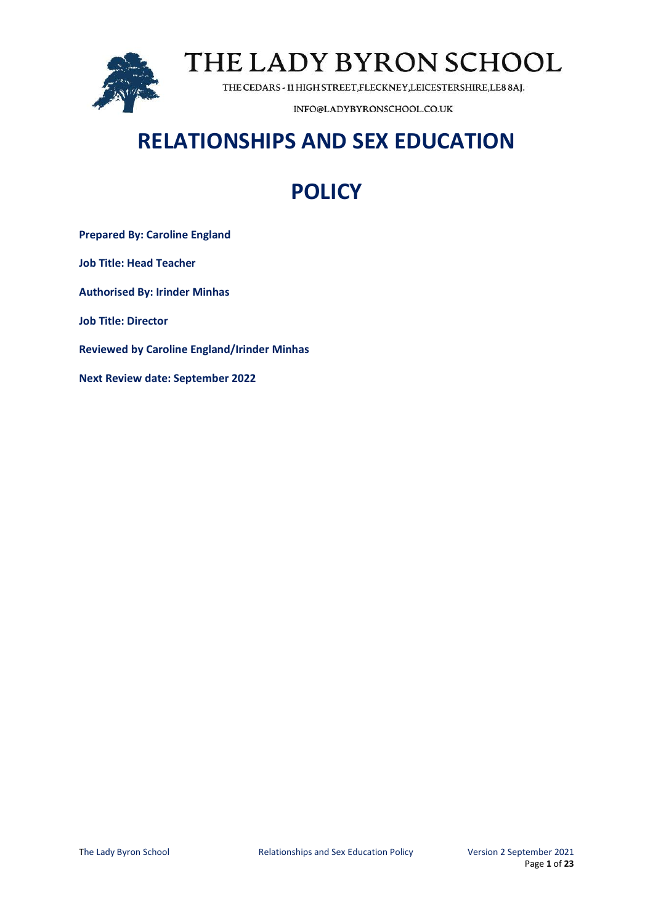

THE CEDARS - 11 HIGH STREET, FLECKNEY, LEICESTERSHIRE, LE8 8AJ.

INFO@LADYBYRONSCHOOL.CO.UK

## **RELATIONSHIPS AND SEX EDUCATION**

## **POLICY**

**Prepared By: Caroline England Job Title: Head Teacher Authorised By: Irinder Minhas Job Title: Director Reviewed by Caroline England/Irinder Minhas Next Review date: September 2022**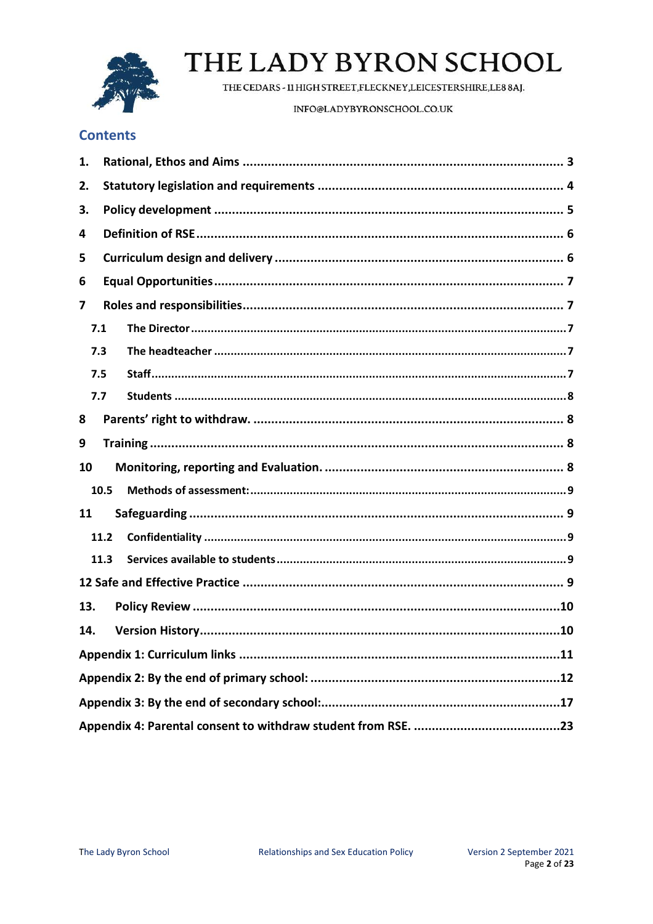

THE CEDARS - 11 HIGH STREET, FLECKNEY, LEICESTERSHIRE, LE8 8AJ.

INFO@LADYBYRONSCHOOL.CO.UK

## **Contents**

| 1.  |      |  |  |  |  |
|-----|------|--|--|--|--|
| 2.  |      |  |  |  |  |
| З.  |      |  |  |  |  |
| 4   |      |  |  |  |  |
| 5   |      |  |  |  |  |
| 6   |      |  |  |  |  |
| 7   |      |  |  |  |  |
| 7.1 |      |  |  |  |  |
|     | 7.3  |  |  |  |  |
|     | 7.5  |  |  |  |  |
|     | 7.7  |  |  |  |  |
| 8   |      |  |  |  |  |
| 9   |      |  |  |  |  |
| 10  |      |  |  |  |  |
|     | 10.5 |  |  |  |  |
| 11  |      |  |  |  |  |
|     | 11.2 |  |  |  |  |
|     | 11.3 |  |  |  |  |
|     |      |  |  |  |  |
| 13. |      |  |  |  |  |
| 14. |      |  |  |  |  |
|     |      |  |  |  |  |
|     |      |  |  |  |  |
|     |      |  |  |  |  |
|     |      |  |  |  |  |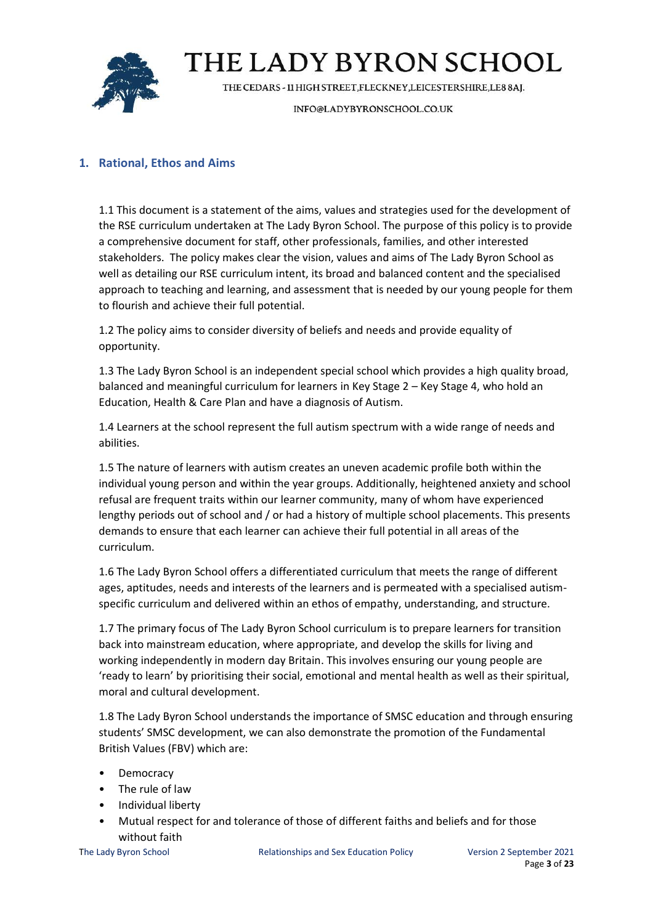

THE CEDARS - 11 HIGH STREET, FLECKNEY, LEICESTERSHIRE, LE8 8AJ.

INFO@LADYBYRONSCHOOL.CO.UK

## <span id="page-2-0"></span>**1. Rational, Ethos and Aims**

1.1 This document is a statement of the aims, values and strategies used for the development of the RSE curriculum undertaken at The Lady Byron School. The purpose of this policy is to provide a comprehensive document for staff, other professionals, families, and other interested stakeholders. The policy makes clear the vision, values and aims of The Lady Byron School as well as detailing our RSE curriculum intent, its broad and balanced content and the specialised approach to teaching and learning, and assessment that is needed by our young people for them to flourish and achieve their full potential.

1.2 The policy aims to consider diversity of beliefs and needs and provide equality of opportunity.

1.3 The Lady Byron School is an independent special school which provides a high quality broad, balanced and meaningful curriculum for learners in Key Stage 2 – Key Stage 4, who hold an Education, Health & Care Plan and have a diagnosis of Autism.

1.4 Learners at the school represent the full autism spectrum with a wide range of needs and abilities.

1.5 The nature of learners with autism creates an uneven academic profile both within the individual young person and within the year groups. Additionally, heightened anxiety and school refusal are frequent traits within our learner community, many of whom have experienced lengthy periods out of school and / or had a history of multiple school placements. This presents demands to ensure that each learner can achieve their full potential in all areas of the curriculum.

1.6 The Lady Byron School offers a differentiated curriculum that meets the range of different ages, aptitudes, needs and interests of the learners and is permeated with a specialised autismspecific curriculum and delivered within an ethos of empathy, understanding, and structure.

1.7 The primary focus of The Lady Byron School curriculum is to prepare learners for transition back into mainstream education, where appropriate, and develop the skills for living and working independently in modern day Britain. This involves ensuring our young people are 'ready to learn' by prioritising their social, emotional and mental health as well as their spiritual, moral and cultural development.

1.8 The Lady Byron School understands the importance of SMSC education and through ensuring students' SMSC development, we can also demonstrate the promotion of the Fundamental British Values (FBV) which are:

- Democracy
- The rule of law
- Individual liberty
- Mutual respect for and tolerance of those of different faiths and beliefs and for those without faith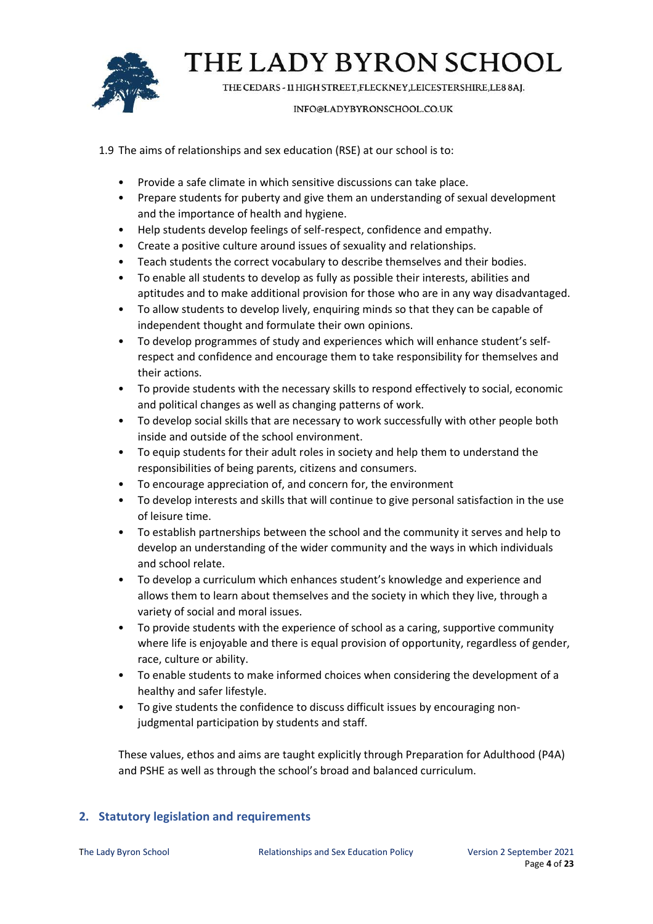

THE CEDARS - 11 HIGH STREET, FLECKNEY, LEICESTERSHIRE, LE8 8AJ.

### INFO@LADYBYRONSCHOOL.CO.UK

- 1.9 The aims of relationships and sex education (RSE) at our school is to:
	- Provide a safe climate in which sensitive discussions can take place.
	- Prepare students for puberty and give them an understanding of sexual development and the importance of health and hygiene.
	- Help students develop feelings of self-respect, confidence and empathy.
	- Create a positive culture around issues of sexuality and relationships.
	- Teach students the correct vocabulary to describe themselves and their bodies.
	- To enable all students to develop as fully as possible their interests, abilities and aptitudes and to make additional provision for those who are in any way disadvantaged.
	- To allow students to develop lively, enquiring minds so that they can be capable of independent thought and formulate their own opinions.
	- To develop programmes of study and experiences which will enhance student's selfrespect and confidence and encourage them to take responsibility for themselves and their actions.
	- To provide students with the necessary skills to respond effectively to social, economic and political changes as well as changing patterns of work.
	- To develop social skills that are necessary to work successfully with other people both inside and outside of the school environment.
	- To equip students for their adult roles in society and help them to understand the responsibilities of being parents, citizens and consumers.
	- To encourage appreciation of, and concern for, the environment
	- To develop interests and skills that will continue to give personal satisfaction in the use of leisure time.
	- To establish partnerships between the school and the community it serves and help to develop an understanding of the wider community and the ways in which individuals and school relate.
	- To develop a curriculum which enhances student's knowledge and experience and allows them to learn about themselves and the society in which they live, through a variety of social and moral issues.
	- To provide students with the experience of school as a caring, supportive community where life is enjoyable and there is equal provision of opportunity, regardless of gender, race, culture or ability.
	- To enable students to make informed choices when considering the development of a healthy and safer lifestyle.
	- To give students the confidence to discuss difficult issues by encouraging nonjudgmental participation by students and staff.

These values, ethos and aims are taught explicitly through Preparation for Adulthood (P4A) and PSHE as well as through the school's broad and balanced curriculum.

## <span id="page-3-0"></span>**2. Statutory legislation and requirements**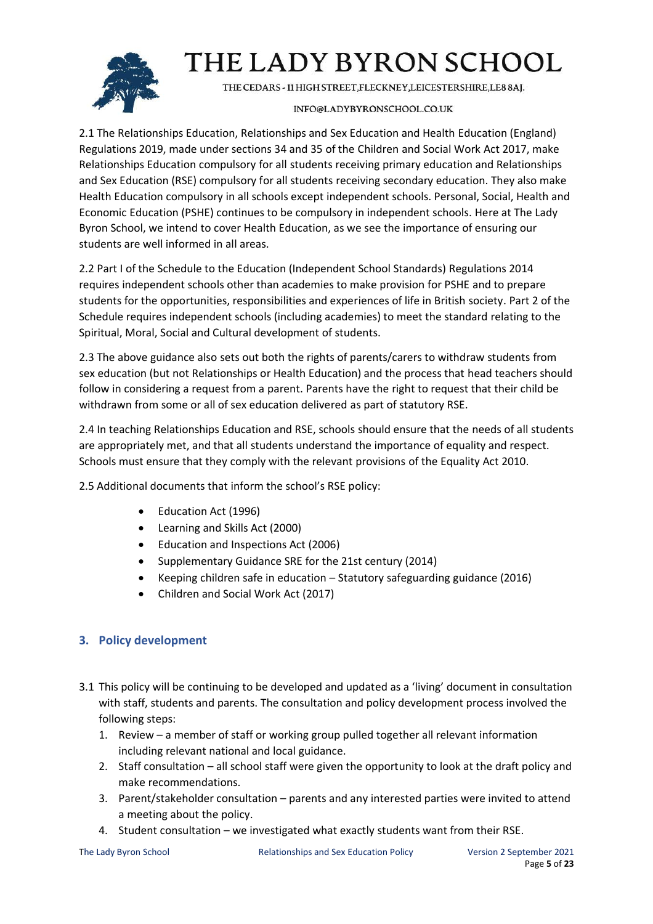

THE CEDARS - 11 HIGH STREET, FLECKNEY, LEICESTERSHIRE, LE8 8AJ.

## INFO@LADYBYRONSCHOOL.CO.UK

2.1 The Relationships Education, Relationships and Sex Education and Health Education (England) Regulations 2019, made under sections 34 and 35 of the Children and Social Work Act 2017, make Relationships Education compulsory for all students receiving primary education and Relationships and Sex Education (RSE) compulsory for all students receiving secondary education. They also make Health Education compulsory in all schools except independent schools. Personal, Social, Health and Economic Education (PSHE) continues to be compulsory in independent schools. Here at The Lady Byron School, we intend to cover Health Education, as we see the importance of ensuring our students are well informed in all areas.

2.2 Part I of the Schedule to the Education (Independent School Standards) Regulations 2014 requires independent schools other than academies to make provision for PSHE and to prepare students for the opportunities, responsibilities and experiences of life in British society. Part 2 of the Schedule requires independent schools (including academies) to meet the standard relating to the Spiritual, Moral, Social and Cultural development of students.

2.3 The above guidance also sets out both the rights of parents/carers to withdraw students from sex education (but not Relationships or Health Education) and the process that head teachers should follow in considering a request from a parent. Parents have the right to request that their child be withdrawn from some or all of sex education delivered as part of statutory RSE.

2.4 In teaching Relationships Education and RSE, schools should ensure that the needs of all students are appropriately met, and that all students understand the importance of equality and respect. Schools must ensure that they comply with the relevant provisions of the Equality Act 2010.

2.5 Additional documents that inform the school's RSE policy:

- Education Act (1996)
- Learning and Skills Act (2000)
- Education and Inspections Act (2006)
- Supplementary Guidance SRE for the 21st century (2014)
- Keeping children safe in education Statutory safeguarding guidance (2016)
- Children and Social Work Act (2017)

## <span id="page-4-0"></span>**3. Policy development**

- 3.1 This policy will be continuing to be developed and updated as a 'living' document in consultation with staff, students and parents. The consultation and policy development process involved the following steps:
	- 1. Review a member of staff or working group pulled together all relevant information including relevant national and local guidance.
	- 2. Staff consultation all school staff were given the opportunity to look at the draft policy and make recommendations.
	- 3. Parent/stakeholder consultation parents and any interested parties were invited to attend a meeting about the policy.
	- 4. Student consultation we investigated what exactly students want from their RSE.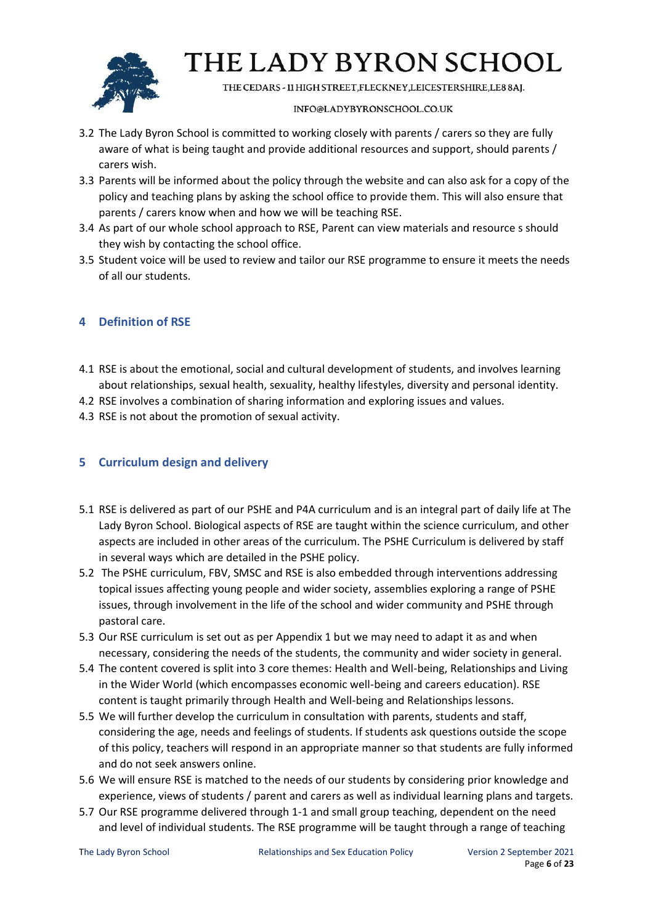

THE CEDARS - 11 HIGH STREET, FLECKNEY, LEICESTERSHIRE, LE8 8AJ.

### INFO@LADYBYRONSCHOOL.CO.UK

- 3.2 The Lady Byron School is committed to working closely with parents / carers so they are fully aware of what is being taught and provide additional resources and support, should parents / carers wish.
- 3.3 Parents will be informed about the policy through the website and can also ask for a copy of the policy and teaching plans by asking the school office to provide them. This will also ensure that parents / carers know when and how we will be teaching RSE.
- 3.4 As part of our whole school approach to RSE, Parent can view materials and resource s should they wish by contacting the school office.
- 3.5 Student voice will be used to review and tailor our RSE programme to ensure it meets the needs of all our students.

## <span id="page-5-0"></span>**4 Definition of RSE**

- 4.1 RSE is about the emotional, social and cultural development of students, and involves learning about relationships, sexual health, sexuality, healthy lifestyles, diversity and personal identity.
- 4.2 RSE involves a combination of sharing information and exploring issues and values.
- 4.3 RSE is not about the promotion of sexual activity.

## <span id="page-5-1"></span>**5 Curriculum design and delivery**

- 5.1 RSE is delivered as part of our PSHE and P4A curriculum and is an integral part of daily life at The Lady Byron School. Biological aspects of RSE are taught within the science curriculum, and other aspects are included in other areas of the curriculum. The PSHE Curriculum is delivered by staff in several ways which are detailed in the PSHE policy.
- 5.2 The PSHE curriculum, FBV, SMSC and RSE is also embedded through interventions addressing topical issues affecting young people and wider society, assemblies exploring a range of PSHE issues, through involvement in the life of the school and wider community and PSHE through pastoral care.
- 5.3 Our RSE curriculum is set out as per Appendix 1 but we may need to adapt it as and when necessary, considering the needs of the students, the community and wider society in general.
- 5.4 The content covered is split into 3 core themes: Health and Well-being, Relationships and Living in the Wider World (which encompasses economic well-being and careers education). RSE content is taught primarily through Health and Well-being and Relationships lessons.
- 5.5 We will further develop the curriculum in consultation with parents, students and staff, considering the age, needs and feelings of students. If students ask questions outside the scope of this policy, teachers will respond in an appropriate manner so that students are fully informed and do not seek answers online.
- 5.6 We will ensure RSE is matched to the needs of our students by considering prior knowledge and experience, views of students / parent and carers as well as individual learning plans and targets.
- 5.7 Our RSE programme delivered through 1-1 and small group teaching, dependent on the need and level of individual students. The RSE programme will be taught through a range of teaching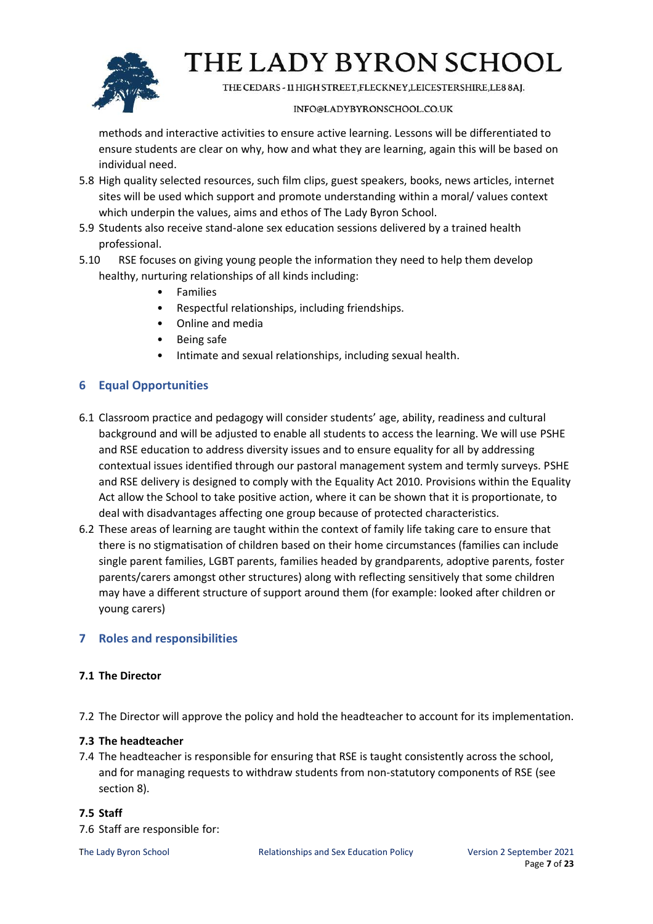

THE CEDARS - 11 HIGH STREET, FLECKNEY, LEICESTERSHIRE, LE8 8AJ.

### INFO@LADYBYRONSCHOOL.CO.UK

methods and interactive activities to ensure active learning. Lessons will be differentiated to ensure students are clear on why, how and what they are learning, again this will be based on individual need.

- 5.8 High quality selected resources, such film clips, guest speakers, books, news articles, internet sites will be used which support and promote understanding within a moral/ values context which underpin the values, aims and ethos of The Lady Byron School.
- 5.9 Students also receive stand-alone sex education sessions delivered by a trained health professional.
- 5.10 RSE focuses on giving young people the information they need to help them develop healthy, nurturing relationships of all kinds including:
	- Families
	- Respectful relationships, including friendships.
	- Online and media
	- Being safe
	- Intimate and sexual relationships, including sexual health.

## <span id="page-6-0"></span>**6 Equal Opportunities**

- 6.1 Classroom practice and pedagogy will consider students' age, ability, readiness and cultural background and will be adjusted to enable all students to access the learning. We will use PSHE and RSE education to address diversity issues and to ensure equality for all by addressing contextual issues identified through our pastoral management system and termly surveys. PSHE and RSE delivery is designed to comply with the Equality Act 2010. Provisions within the Equality Act allow the School to take positive action, where it can be shown that it is proportionate, to deal with disadvantages affecting one group because of protected characteristics.
- 6.2 These areas of learning are taught within the context of family life taking care to ensure that there is no stigmatisation of children based on their home circumstances (families can include single parent families, LGBT parents, families headed by grandparents, adoptive parents, foster parents/carers amongst other structures) along with reflecting sensitively that some children may have a different structure of support around them (for example: looked after children or young carers)

## <span id="page-6-1"></span>**7 Roles and responsibilities**

## <span id="page-6-2"></span>**7.1 The Director**

7.2 The Director will approve the policy and hold the headteacher to account for its implementation.

## <span id="page-6-3"></span>**7.3 The headteacher**

7.4 The headteacher is responsible for ensuring that RSE is taught consistently across the school, and for managing requests to withdraw students from non-statutory components of RSE (see section 8).

## <span id="page-6-4"></span>**7.5 Staff**

7.6 Staff are responsible for: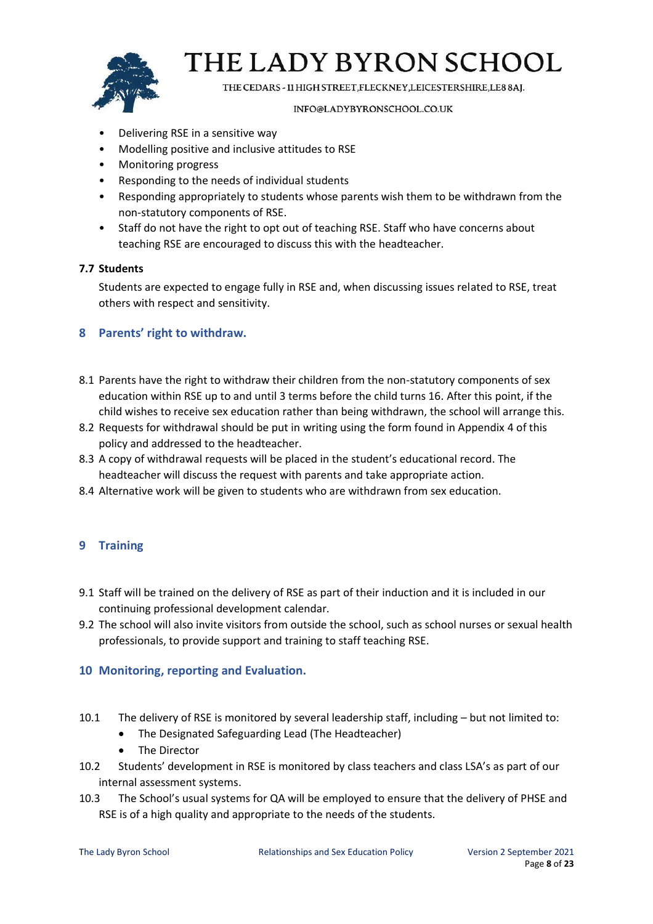

THE CEDARS - 11 HIGH STREET, FLECKNEY, LEICESTERSHIRE, LE8 8AJ.

### INFO@LADYBYRONSCHOOL.CO.UK

- Delivering RSE in a sensitive way
- Modelling positive and inclusive attitudes to RSE
- Monitoring progress
- Responding to the needs of individual students
- Responding appropriately to students whose parents wish them to be withdrawn from the non-statutory components of RSE.
- Staff do not have the right to opt out of teaching RSE. Staff who have concerns about teaching RSE are encouraged to discuss this with the headteacher.

### <span id="page-7-0"></span>**7.7 Students**

Students are expected to engage fully in RSE and, when discussing issues related to RSE, treat others with respect and sensitivity.

### <span id="page-7-1"></span>**8 Parents' right to withdraw.**

- 8.1 Parents have the right to withdraw their children from the non-statutory components of sex education within RSE up to and until 3 terms before the child turns 16. After this point, if the child wishes to receive sex education rather than being withdrawn, the school will arrange this.
- 8.2 Requests for withdrawal should be put in writing using the form found in Appendix 4 of this policy and addressed to the headteacher.
- 8.3 A copy of withdrawal requests will be placed in the student's educational record. The headteacher will discuss the request with parents and take appropriate action.
- 8.4 Alternative work will be given to students who are withdrawn from sex education.

## <span id="page-7-2"></span>**9 Training**

- 9.1 Staff will be trained on the delivery of RSE as part of their induction and it is included in our continuing professional development calendar.
- 9.2 The school will also invite visitors from outside the school, such as school nurses or sexual health professionals, to provide support and training to staff teaching RSE.

### <span id="page-7-3"></span>**10 Monitoring, reporting and Evaluation.**

- 10.1 The delivery of RSE is monitored by several leadership staff, including but not limited to:
	- The Designated Safeguarding Lead (The Headteacher)
	- The Director
- 10.2 Students' development in RSE is monitored by class teachers and class LSA's as part of our internal assessment systems.
- 10.3 The School's usual systems for QA will be employed to ensure that the delivery of PHSE and RSE is of a high quality and appropriate to the needs of the students.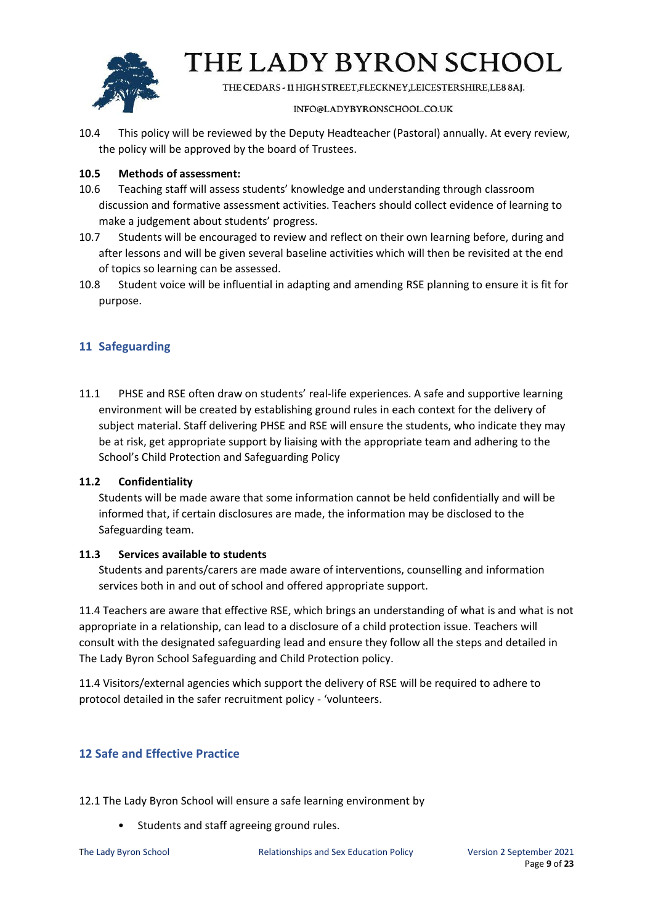

THE CEDARS - 11 HIGH STREET, FLECKNEY, LEICESTERSHIRE, LE8 8AJ.

### INFO@LADYBYRONSCHOOL.CO.UK

10.4 This policy will be reviewed by the Deputy Headteacher (Pastoral) annually. At every review, the policy will be approved by the board of Trustees.

### <span id="page-8-0"></span>**10.5 Methods of assessment:**

- 10.6 Teaching staff will assess students' knowledge and understanding through classroom discussion and formative assessment activities. Teachers should collect evidence of learning to make a judgement about students' progress.
- 10.7 Students will be encouraged to review and reflect on their own learning before, during and after lessons and will be given several baseline activities which will then be revisited at the end of topics so learning can be assessed.
- 10.8 Student voice will be influential in adapting and amending RSE planning to ensure it is fit for purpose.

## <span id="page-8-1"></span>**11 Safeguarding**

11.1 PHSE and RSE often draw on students' real-life experiences. A safe and supportive learning environment will be created by establishing ground rules in each context for the delivery of subject material. Staff delivering PHSE and RSE will ensure the students, who indicate they may be at risk, get appropriate support by liaising with the appropriate team and adhering to the School's Child Protection and Safeguarding Policy

### <span id="page-8-2"></span>**11.2 Confidentiality**

Students will be made aware that some information cannot be held confidentially and will be informed that, if certain disclosures are made, the information may be disclosed to the Safeguarding team.

### <span id="page-8-3"></span>**11.3 Services available to students**

Students and parents/carers are made aware of interventions, counselling and information services both in and out of school and offered appropriate support.

11.4 Teachers are aware that effective RSE, which brings an understanding of what is and what is not appropriate in a relationship, can lead to a disclosure of a child protection issue. Teachers will consult with the designated safeguarding lead and ensure they follow all the steps and detailed in The Lady Byron School Safeguarding and Child Protection policy.

11.4 Visitors/external agencies which support the delivery of RSE will be required to adhere to protocol detailed in the safer recruitment policy - 'volunteers.

## <span id="page-8-4"></span>**12 Safe and Effective Practice**

12.1 The Lady Byron School will ensure a safe learning environment by

• Students and staff agreeing ground rules.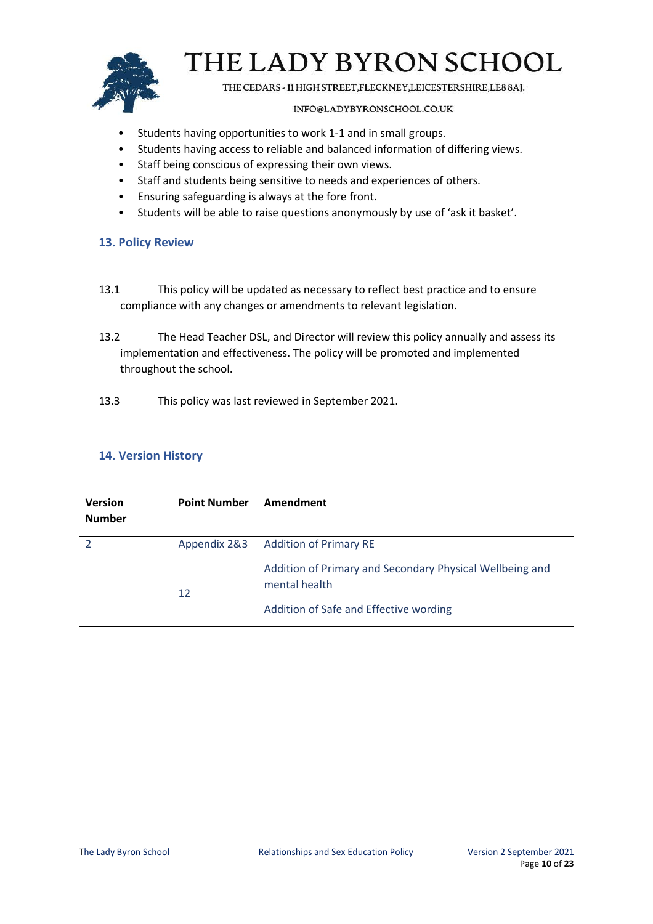

THE CEDARS - 11 HIGH STREET, FLECKNEY, LEICESTERSHIRE, LE8 8AJ.

### INFO@LADYBYRONSCHOOL.CO.UK

- Students having opportunities to work 1-1 and in small groups.
- Students having access to reliable and balanced information of differing views.
- Staff being conscious of expressing their own views.
- Staff and students being sensitive to needs and experiences of others.
- Ensuring safeguarding is always at the fore front.
- Students will be able to raise questions anonymously by use of 'ask it basket'.

### <span id="page-9-0"></span>**13. Policy Review**

- 13.1 This policy will be updated as necessary to reflect best practice and to ensure compliance with any changes or amendments to relevant legislation.
- 13.2 The Head Teacher DSL, and Director will review this policy annually and assess its implementation and effectiveness. The policy will be promoted and implemented throughout the school.
- 13.3 This policy was last reviewed in September 2021.

## <span id="page-9-1"></span>**14. Version History**

| Version<br><b>Number</b> | <b>Point Number</b> | Amendment                                                                                                                                            |
|--------------------------|---------------------|------------------------------------------------------------------------------------------------------------------------------------------------------|
|                          | Appendix 2&3<br>12  | <b>Addition of Primary RE</b><br>Addition of Primary and Secondary Physical Wellbeing and<br>mental health<br>Addition of Safe and Effective wording |
|                          |                     |                                                                                                                                                      |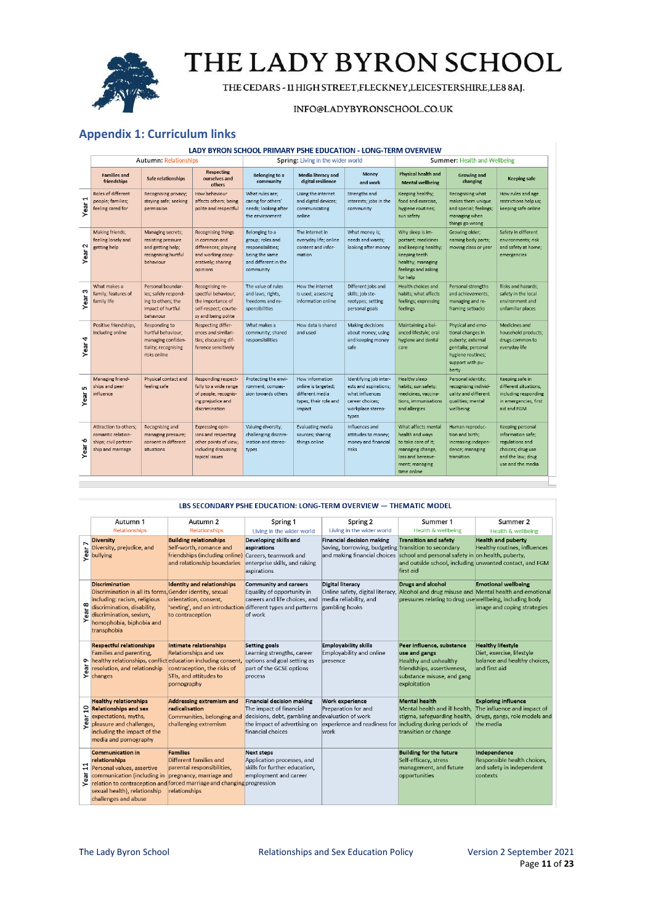

THE CEDARS - 11 HIGH STREET, FLECKNEY, LEICESTERSHIRE, LE8 8AJ.

#### INFO@LADYBYRONSCHOOL.CO.UK

### <span id="page-10-0"></span>**Appendix 1: Curriculum links**

#### LADY BYRON SCHOOL PRIMARY PSHE EDUCATION - LONG-TERM OVERVIEW

|                | Autumn: Relationships                                                                     |                                                                                                   |                                                                                                                           | Spring: Living in the wider world                                                                              |                                                                                              |                                                                                                                     | Summer: Health and Wellbeing                                                                                                            |                                                                                                                                      |                                                                                                                         |
|----------------|-------------------------------------------------------------------------------------------|---------------------------------------------------------------------------------------------------|---------------------------------------------------------------------------------------------------------------------------|----------------------------------------------------------------------------------------------------------------|----------------------------------------------------------------------------------------------|---------------------------------------------------------------------------------------------------------------------|-----------------------------------------------------------------------------------------------------------------------------------------|--------------------------------------------------------------------------------------------------------------------------------------|-------------------------------------------------------------------------------------------------------------------------|
|                | <b>Families and</b><br>friendships                                                        | Safe relationships                                                                                | <b>Respecting</b><br>ourselves and<br>others                                                                              | Belonging to a<br>community                                                                                    | <b>Media literacy and</b><br>digital resilience                                              | Money<br>and work                                                                                                   | <b>Physical health and</b><br><b>Mental wellbeing</b>                                                                                   | <b>Growing and</b><br>changing                                                                                                       | <b>Keeping safe</b>                                                                                                     |
| ⊣<br>Year      | Roles of different<br>people; families;<br>feeling cared for                              | Recognising privacy;<br>staying safe; seeking<br>permission                                       | How behaviour<br>affects others; being<br>polite and respectful                                                           | What rules are:<br>caring for others'<br>needs; looking after<br>the environment                               | Using the internet<br>and digital devices;<br>communicating<br>online                        | Strengths and<br>interests; jobs in the<br>community                                                                | Keeping healthy;<br>food and exercise,<br>hygiene routines;<br>sun safety                                                               | Recognising what<br>makes them unique<br>and special; feelings;<br>managing when<br>things go wrong                                  | How rules and age<br>restrictions help us;<br>keeping safe online                                                       |
| $\sim$<br>Year | Making friends;<br>feeling lonely and<br>getting help                                     | Managing secrets;<br>resisting pressure<br>and getting help;<br>recognising hurtful<br>behaviour  | <b>Recognising things</b><br>in common and<br>differences: playing<br>and working coop-<br>eratively; sharing<br>opinions | Belonging to a<br>group; roles and<br>responsibilities;<br>being the same<br>and different in the<br>community | The internet in<br>everyday life; online<br>content and infor-<br>mation                     | What money is:<br>needs and wants;<br>looking after money                                                           | Why sleep is im-<br>portant; medicines<br>and keeping healthy;<br>keeping teeth<br>healthy; managing<br>feelings and asking<br>for help | Growing older:<br>naming body parts;<br>moving class or year                                                                         | Safety in different<br>environments; risk<br>and safety at home;<br>emergencies                                         |
| S<br>Year      | What makes a<br>family; features of<br>family life                                        | Personal boundar-<br>ies; safely respond-<br>ing to others; the<br>impact of hurtful<br>behaviour | Recognising re-<br>spectful behaviour;<br>the importance of<br>self-respect; courte-<br>sy and being polite               | The value of rules<br>and laws; rights,<br>freedoms and re-<br>sponsibilities                                  | How the internet<br>is used; assessing<br>information online                                 | Different jobs and<br>skills; job ste-<br>reotypes; setting<br>personal goals                                       | Health choices and<br>habits; what affects<br>feelings; expressing<br>feelings                                                          | Personal strengths<br>and achievements;<br>managing and re-<br>framing setbacks                                                      | Risks and hazards:<br>safety in the local<br>environment and<br>unfamiliar places                                       |
| 4<br>Year      | Positive friendships,<br>including online                                                 | Responding to<br>hurtful behaviour;<br>managing confiden-<br>tiality; recognising<br>risks online | Respecting differ-<br>ences and similari-<br>ties; discussing dif-<br>ference sensitively                                 | What makes a<br>community; shared<br>responsibilities                                                          | How data is shared<br>and used                                                               | Making decisions<br>about money; using<br>and keeping money<br>safe                                                 | Maintaining a bal-<br>anced lifestyle; oral<br>hygiene and dental<br>care                                                               | Physical and emo-<br>tional changes in<br>puberty; external<br>genitalia; personal<br>hygiene routines;<br>support with pu-<br>berty | Medicines and<br>household products;<br>drugs common to<br>everyday life                                                |
| in.<br>Year    | Managing friend-<br>ships and peer<br>influence                                           | Physical contact and<br>feeling safe                                                              | Responding respect-<br>fully to a wide range<br>of people; recognis-<br>ing prejudice and<br>discrimination               | Protecting the envi-<br>ronment; compas-<br>sion towards others                                                | How information<br>online is targeted;<br>different media<br>types, their role and<br>impact | Identifying job inter-<br>ests and aspirations;<br>what influences<br>career choices:<br>workplace stereo-<br>types | Healthy sleep<br>habits; sun safety;<br>medicines, vaccina-<br>tions, immunisations<br>and allergies                                    | Personal identity;<br>recognising individ-<br>uality and different<br>qualities; mental<br>wellbeing                                 | Keeping safe in<br>different situations,<br>including responding<br>in emergencies, first<br>aid and FGM                |
| ∾<br>Year      | Attraction to others:<br>romantic relation-<br>ships; civil partner-<br>ship and marriage | Recognising and<br>managing pressure;<br>consent in different<br>situations                       | Expressing opin-<br>ions and respecting<br>other points of view.<br>including discussing<br>topical issues                | Valuing diversity;<br>challenging discrim-<br>ination and stereo-<br>types                                     | Evaluating media<br>sources; sharing<br>things online                                        | Influences and<br>attitudes to money;<br>money and financial<br>risks                                               | What affects mental<br>health and ways<br>to take care of it;<br>managing change,<br>loss and bereave-<br>ment; managing<br>time online | Human reproduc-<br>tion and birth;<br>increasing indepen-<br>dence; managing<br>transition                                           | Keeping personal<br>information safe;<br>regulations and<br>choices; drug use<br>and the law; drug<br>use and the media |

#### LBS SECONDARY PSHE EDUCATION: LONG-TERM OVERVIEW - THEMATIC MODEL

|                        | Autumn 1                                                                                                                                                                                                                                | Autumn 2                                                                                                                       | Spring 1                                                                                                                                                                      | Spring 2                                                                                                                 | Summer 1                                                                                                                                                                         | Summer 2                                                                                                |
|------------------------|-----------------------------------------------------------------------------------------------------------------------------------------------------------------------------------------------------------------------------------------|--------------------------------------------------------------------------------------------------------------------------------|-------------------------------------------------------------------------------------------------------------------------------------------------------------------------------|--------------------------------------------------------------------------------------------------------------------------|----------------------------------------------------------------------------------------------------------------------------------------------------------------------------------|---------------------------------------------------------------------------------------------------------|
|                        | <b>Relationships</b>                                                                                                                                                                                                                    | <b>Relationships</b>                                                                                                           | Living in the wider world                                                                                                                                                     | Living in the wider world                                                                                                | Health & wellbeing                                                                                                                                                               | Health & wellbeing                                                                                      |
| Z<br>Year              | <b>Diversity</b><br>Diversity, prejudice, and<br>bullying                                                                                                                                                                               | <b>Building relationships</b><br>Self-worth, romance and<br>friendships (including online)<br>and relationship boundaries      | Developing skills and<br>aspirations<br>Careers, teamwork and<br>enterprise skills, and raising<br>aspirations                                                                | <b>Financial decision making</b><br>Saving, borrowing, budgeting Transition to secondary<br>and making financial choices | <b>Transition and safety</b><br>school and personal safety in on health, puberty,<br>and outside school, including unwanted contact, and FGM<br>first aid                        | <b>Health and puberty</b><br>Healthy routines, influences                                               |
| ear <sub>8</sub><br>≻  | <b>Discrimination</b><br>Discrimination in all its forms, Gender identity, sexual<br>including: racism, religious<br>discrimination, disability,<br>discrimination, sexism,<br>homophobia, biphobia and<br>transphobia                  | <b>Identity and relationships</b><br>orientation, consent,<br>to contraception                                                 | Community and careers<br>Equality of opportunity in<br>careers and life choices, and<br>'sexting', and an introduction different types and patterns gambling hooks<br>of work | <b>Digital literacy</b><br>media reliability, and                                                                        | <b>Drugs and alcohol</b><br>Online safety, digital literacy, Alcohol and drug misuse and Mental health and emotional<br>pressures relating to drug use wellbeing, including body | <b>Emotional wellbeing</b><br>image and coping strategies                                               |
|                        | <b>Respectful relationships</b><br>Families and parenting,<br>o healthy relationships, conflict education including consent,<br>resolution, and relationship<br>$\sum$ changes                                                          | Intimate relationships<br><b>Relationships and sex</b><br>contraception, the risks of<br>STIs, and attitudes to<br>pornography | Setting goals<br>Learning strengths, career<br>options and goal setting as<br>part of the GCSE options<br>process                                                             | <b>Employability skills</b><br>Employability and online<br>presence                                                      | Peer influence, substance<br>use and gangs<br>Healthy and unhealthy<br>friendships, assertiveness,<br>substance misuse, and gang<br>exploitation                                 | <b>Healthy lifestyle</b><br>Diet, exercise, lifestyle<br>balance and healthy choices,<br>and first aid  |
| ្ព<br>Year             | <b>Healthy relationships</b><br><b>Relationships and sex</b><br>expectations, myths,<br>pleasure and challenges,<br>including the impact of the<br>media and pornography                                                                | Addressing extremism and<br>radicalisation<br>Communities, belonging and<br>challenging extremism                              | Financial decision making<br>The impact of financial<br>decisions, debt, gambling and evaluation of work<br>the impact of advertising on<br>financial choices                 | Work experience<br>Preparation for and<br>experience and readiness for including during periods of<br>work               | <b>Mental health</b><br>Mental health and ill health.<br>stigma, safeguarding health,<br>transition or change                                                                    | <b>Exploring influence</b><br>The influence and impact of<br>drugs, gangs, role models and<br>the media |
| $\overline{1}$<br>Year | <b>Communication in</b><br>relationships<br>Personal values, assertive<br>communication (including in<br>relation to contraception and forced marriage and changing progression<br>sexual health), relationship<br>challenges and abuse | <b>Families</b><br>Different families and<br>parental responsibilities,<br>pregnancy, marriage and<br>relationships            | <b>Next steps</b><br>Application processes, and<br>skills for further education,<br>employment and career                                                                     |                                                                                                                          | <b>Building for the future</b><br>Self-efficacy, stress<br>management, and future<br>opportunities                                                                               | Independence<br>Responsible health choices,<br>and safety in independent<br>contexts                    |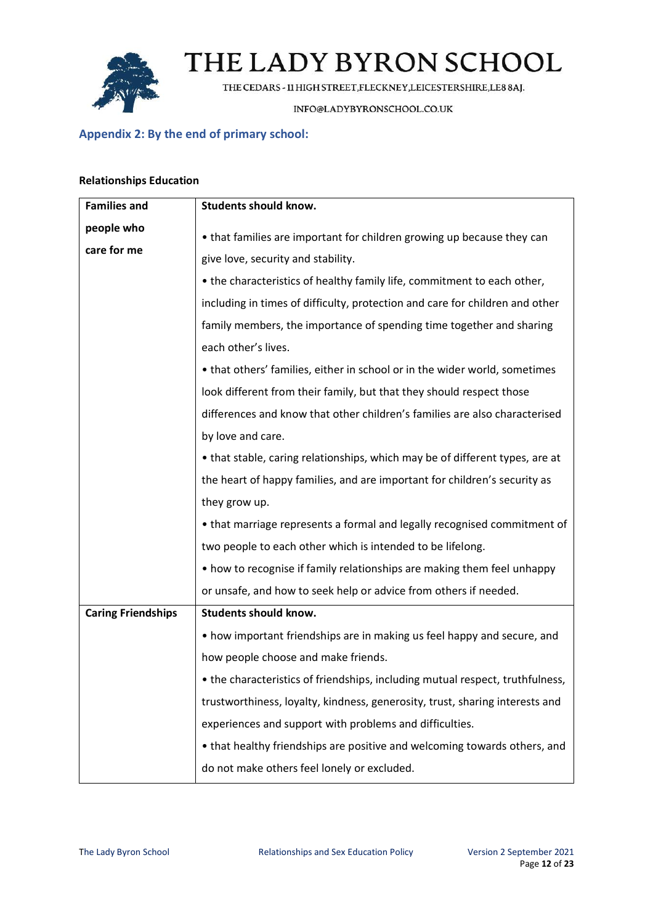

THE CEDARS - 11 HIGH STREET, FLECKNEY, LEICESTERSHIRE, LE8 8AJ.

INFO@LADYBYRONSCHOOL.CO.UK

## <span id="page-11-0"></span>**Appendix 2: By the end of primary school:**

### **Relationships Education**

| <b>Families and</b>       | Students should know.                                                         |
|---------------------------|-------------------------------------------------------------------------------|
| people who                | • that families are important for children growing up because they can        |
| care for me               | give love, security and stability.                                            |
|                           | • the characteristics of healthy family life, commitment to each other,       |
|                           | including in times of difficulty, protection and care for children and other  |
|                           | family members, the importance of spending time together and sharing          |
|                           | each other's lives.                                                           |
|                           | • that others' families, either in school or in the wider world, sometimes    |
|                           | look different from their family, but that they should respect those          |
|                           | differences and know that other children's families are also characterised    |
|                           |                                                                               |
|                           | by love and care.                                                             |
|                           | • that stable, caring relationships, which may be of different types, are at  |
|                           | the heart of happy families, and are important for children's security as     |
|                           | they grow up.                                                                 |
|                           | • that marriage represents a formal and legally recognised commitment of      |
|                           | two people to each other which is intended to be lifelong.                    |
|                           | • how to recognise if family relationships are making them feel unhappy       |
|                           | or unsafe, and how to seek help or advice from others if needed.              |
| <b>Caring Friendships</b> | <b>Students should know.</b>                                                  |
|                           | • how important friendships are in making us feel happy and secure, and       |
|                           | how people choose and make friends.                                           |
|                           | • the characteristics of friendships, including mutual respect, truthfulness, |
|                           | trustworthiness, loyalty, kindness, generosity, trust, sharing interests and  |
|                           | experiences and support with problems and difficulties.                       |
|                           | • that healthy friendships are positive and welcoming towards others, and     |
|                           | do not make others feel lonely or excluded.                                   |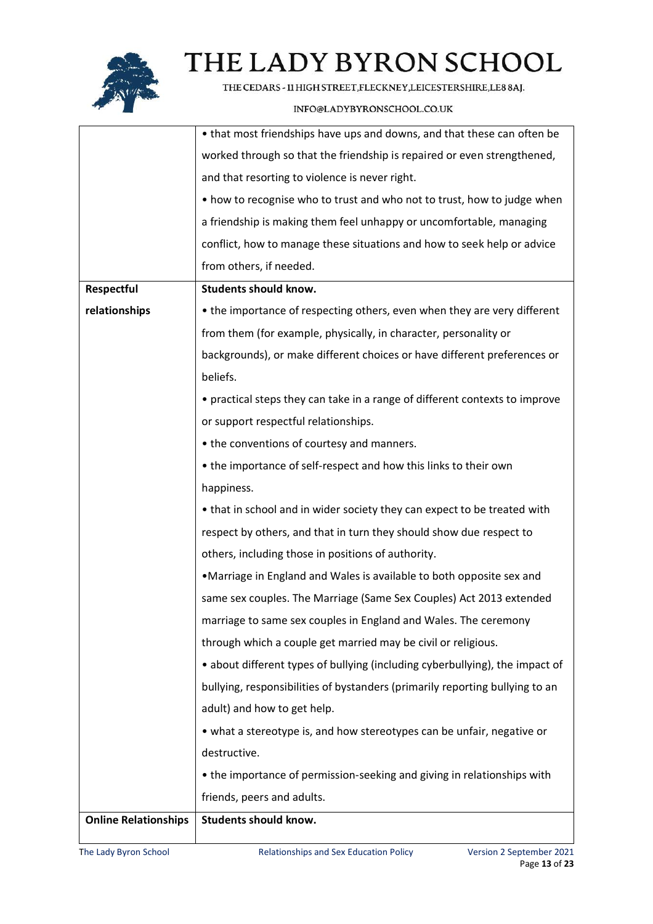

THE CEDARS - 11 HIGH STREET, FLECKNEY, LEICESTERSHIRE, LE8 8AJ.

|                             | • that most friendships have ups and downs, and that these can often be      |
|-----------------------------|------------------------------------------------------------------------------|
|                             | worked through so that the friendship is repaired or even strengthened,      |
|                             | and that resorting to violence is never right.                               |
|                             | • how to recognise who to trust and who not to trust, how to judge when      |
|                             | a friendship is making them feel unhappy or uncomfortable, managing          |
|                             | conflict, how to manage these situations and how to seek help or advice      |
|                             | from others, if needed.                                                      |
| Respectful                  | <b>Students should know.</b>                                                 |
| relationships               | • the importance of respecting others, even when they are very different     |
|                             | from them (for example, physically, in character, personality or             |
|                             | backgrounds), or make different choices or have different preferences or     |
|                             | beliefs.                                                                     |
|                             | • practical steps they can take in a range of different contexts to improve  |
|                             | or support respectful relationships.                                         |
|                             | • the conventions of courtesy and manners.                                   |
|                             | • the importance of self-respect and how this links to their own             |
|                             | happiness.                                                                   |
|                             | • that in school and in wider society they can expect to be treated with     |
|                             | respect by others, and that in turn they should show due respect to          |
|                             | others, including those in positions of authority.                           |
|                             | •Marriage in England and Wales is available to both opposite sex and         |
|                             | same sex couples. The Marriage (Same Sex Couples) Act 2013 extended          |
|                             | marriage to same sex couples in England and Wales. The ceremony              |
|                             | through which a couple get married may be civil or religious.                |
|                             | • about different types of bullying (including cyberbullying), the impact of |
|                             | bullying, responsibilities of bystanders (primarily reporting bullying to an |
|                             | adult) and how to get help.                                                  |
|                             | • what a stereotype is, and how stereotypes can be unfair, negative or       |
|                             | destructive.                                                                 |
|                             | • the importance of permission-seeking and giving in relationships with      |
|                             | friends, peers and adults.                                                   |
| <b>Online Relationships</b> | Students should know.                                                        |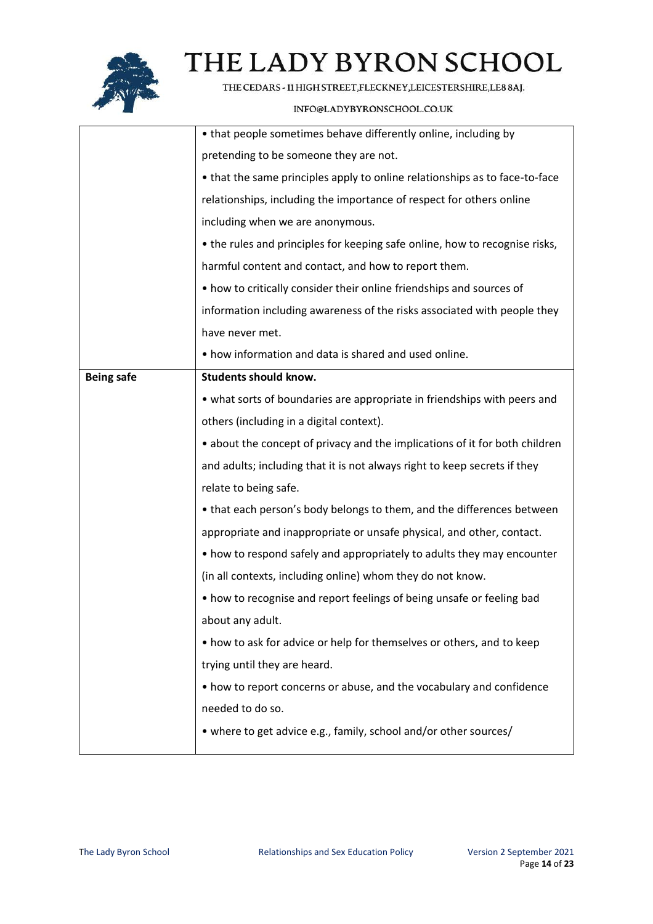

THE CEDARS - 11 HIGH STREET, FLECKNEY, LEICESTERSHIRE, LE8 8AJ.

|                   | • that people sometimes behave differently online, including by             |
|-------------------|-----------------------------------------------------------------------------|
|                   | pretending to be someone they are not.                                      |
|                   | • that the same principles apply to online relationships as to face-to-face |
|                   |                                                                             |
|                   | relationships, including the importance of respect for others online        |
|                   | including when we are anonymous.                                            |
|                   | • the rules and principles for keeping safe online, how to recognise risks, |
|                   | harmful content and contact, and how to report them.                        |
|                   | • how to critically consider their online friendships and sources of        |
|                   | information including awareness of the risks associated with people they    |
|                   | have never met.                                                             |
|                   | • how information and data is shared and used online.                       |
| <b>Being safe</b> | <b>Students should know.</b>                                                |
|                   | • what sorts of boundaries are appropriate in friendships with peers and    |
|                   | others (including in a digital context).                                    |
|                   | • about the concept of privacy and the implications of it for both children |
|                   | and adults; including that it is not always right to keep secrets if they   |
|                   | relate to being safe.                                                       |
|                   | • that each person's body belongs to them, and the differences between      |
|                   | appropriate and inappropriate or unsafe physical, and other, contact.       |
|                   | • how to respond safely and appropriately to adults they may encounter      |
|                   | (in all contexts, including online) whom they do not know.                  |
|                   | • how to recognise and report feelings of being unsafe or feeling bad       |
|                   | about any adult.                                                            |
|                   | • how to ask for advice or help for themselves or others, and to keep       |
|                   | trying until they are heard.                                                |
|                   | • how to report concerns or abuse, and the vocabulary and confidence        |
|                   | needed to do so.                                                            |
|                   |                                                                             |
|                   | • where to get advice e.g., family, school and/or other sources/            |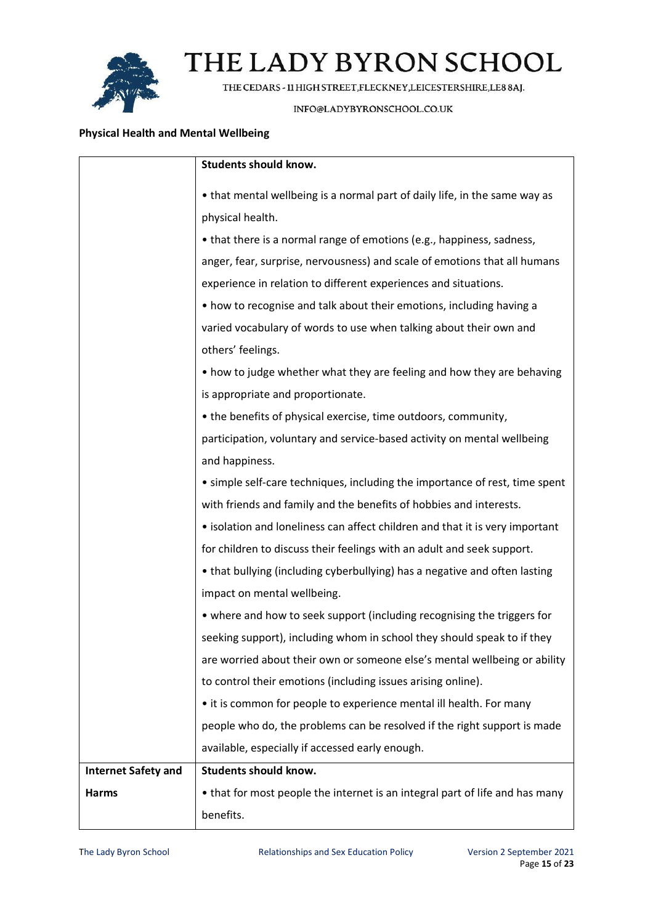

THE CEDARS - 11 HIGH STREET, FLECKNEY, LEICESTERSHIRE, LE8 8AJ.

### INFO@LADYBYRONSCHOOL.CO.UK

### **Physical Health and Mental Wellbeing**

|                            | <b>Students should know.</b>                                                 |
|----------------------------|------------------------------------------------------------------------------|
|                            | • that mental wellbeing is a normal part of daily life, in the same way as   |
|                            | physical health.                                                             |
|                            | • that there is a normal range of emotions (e.g., happiness, sadness,        |
|                            | anger, fear, surprise, nervousness) and scale of emotions that all humans    |
|                            | experience in relation to different experiences and situations.              |
|                            | • how to recognise and talk about their emotions, including having a         |
|                            | varied vocabulary of words to use when talking about their own and           |
|                            | others' feelings.                                                            |
|                            | • how to judge whether what they are feeling and how they are behaving       |
|                            | is appropriate and proportionate.                                            |
|                            | • the benefits of physical exercise, time outdoors, community,               |
|                            | participation, voluntary and service-based activity on mental wellbeing      |
|                            | and happiness.                                                               |
|                            | • simple self-care techniques, including the importance of rest, time spent  |
|                            | with friends and family and the benefits of hobbies and interests.           |
|                            | • isolation and loneliness can affect children and that it is very important |
|                            | for children to discuss their feelings with an adult and seek support.       |
|                            | • that bullying (including cyberbullying) has a negative and often lasting   |
|                            | impact on mental wellbeing.                                                  |
|                            | • where and how to seek support (including recognising the triggers for      |
|                            | seeking support), including whom in school they should speak to if they      |
|                            | are worried about their own or someone else's mental wellbeing or ability    |
|                            | to control their emotions (including issues arising online).                 |
|                            | • it is common for people to experience mental ill health. For many          |
|                            | people who do, the problems can be resolved if the right support is made     |
|                            | available, especially if accessed early enough.                              |
| <b>Internet Safety and</b> | <b>Students should know.</b>                                                 |
| <b>Harms</b>               | • that for most people the internet is an integral part of life and has many |
|                            | benefits.                                                                    |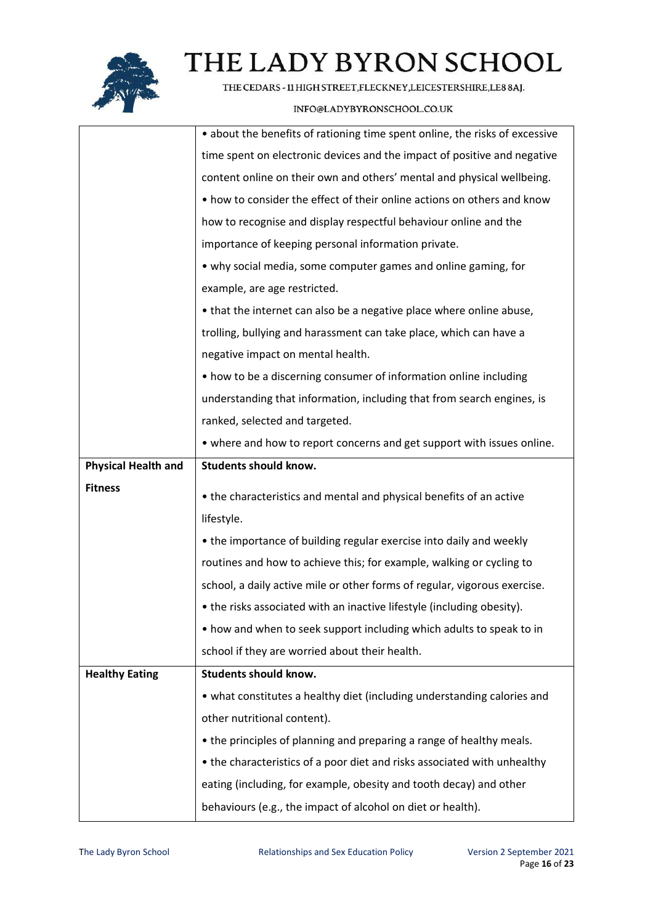

THE CEDARS - 11 HIGH STREET, FLECKNEY, LEICESTERSHIRE, LE8 8AJ.

|                            | • about the benefits of rationing time spent online, the risks of excessive                                                       |
|----------------------------|-----------------------------------------------------------------------------------------------------------------------------------|
|                            | time spent on electronic devices and the impact of positive and negative                                                          |
|                            | content online on their own and others' mental and physical wellbeing.                                                            |
|                            | • how to consider the effect of their online actions on others and know                                                           |
|                            | how to recognise and display respectful behaviour online and the                                                                  |
|                            | importance of keeping personal information private.                                                                               |
|                            | • why social media, some computer games and online gaming, for                                                                    |
|                            | example, are age restricted.                                                                                                      |
|                            | • that the internet can also be a negative place where online abuse,                                                              |
|                            | trolling, bullying and harassment can take place, which can have a                                                                |
|                            | negative impact on mental health.                                                                                                 |
|                            | • how to be a discerning consumer of information online including                                                                 |
|                            | understanding that information, including that from search engines, is                                                            |
|                            | ranked, selected and targeted.                                                                                                    |
|                            | • where and how to report concerns and get support with issues online.                                                            |
| <b>Physical Health and</b> | <b>Students should know.</b>                                                                                                      |
|                            |                                                                                                                                   |
| <b>Fitness</b>             |                                                                                                                                   |
|                            | • the characteristics and mental and physical benefits of an active                                                               |
|                            | lifestyle.                                                                                                                        |
|                            | • the importance of building regular exercise into daily and weekly                                                               |
|                            | routines and how to achieve this; for example, walking or cycling to                                                              |
|                            | school, a daily active mile or other forms of regular, vigorous exercise.                                                         |
|                            | • the risks associated with an inactive lifestyle (including obesity).                                                            |
|                            | • how and when to seek support including which adults to speak to in                                                              |
|                            | school if they are worried about their health.                                                                                    |
| <b>Healthy Eating</b>      | <b>Students should know.</b>                                                                                                      |
|                            | • what constitutes a healthy diet (including understanding calories and                                                           |
|                            | other nutritional content).                                                                                                       |
|                            | • the principles of planning and preparing a range of healthy meals.                                                              |
|                            | • the characteristics of a poor diet and risks associated with unhealthy                                                          |
|                            | eating (including, for example, obesity and tooth decay) and other<br>behaviours (e.g., the impact of alcohol on diet or health). |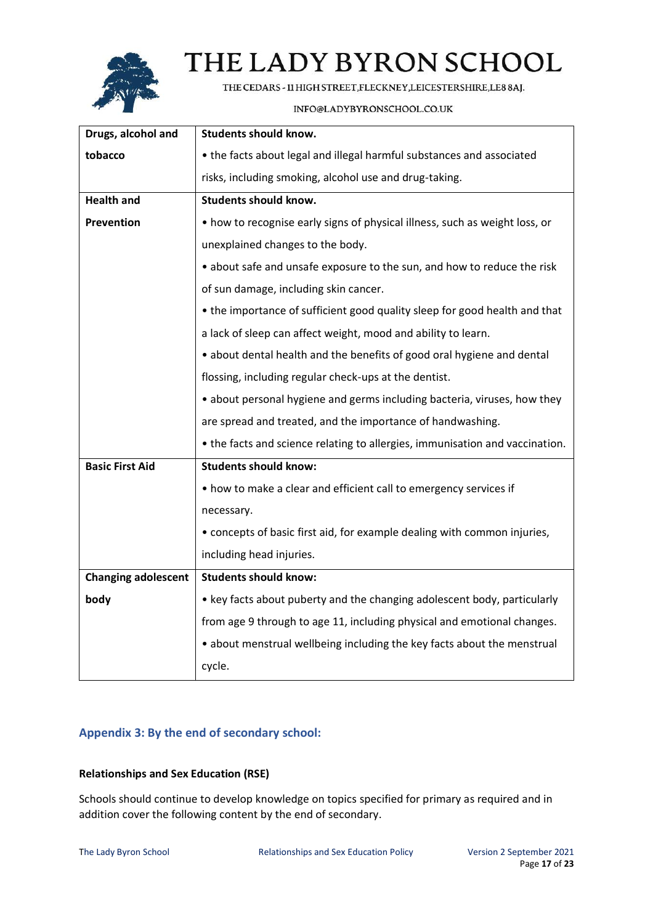

THE CEDARS - 11 HIGH STREET, FLECKNEY, LEICESTERSHIRE, LE8 8AJ.

### INFO@LADYBYRONSCHOOL.CO.UK

| Drugs, alcohol and         | <b>Students should know.</b>                                                 |
|----------------------------|------------------------------------------------------------------------------|
| tobacco                    | • the facts about legal and illegal harmful substances and associated        |
|                            | risks, including smoking, alcohol use and drug-taking.                       |
| <b>Health and</b>          | <b>Students should know.</b>                                                 |
| <b>Prevention</b>          | • how to recognise early signs of physical illness, such as weight loss, or  |
|                            | unexplained changes to the body.                                             |
|                            | • about safe and unsafe exposure to the sun, and how to reduce the risk      |
|                            | of sun damage, including skin cancer.                                        |
|                            | • the importance of sufficient good quality sleep for good health and that   |
|                            | a lack of sleep can affect weight, mood and ability to learn.                |
|                            | • about dental health and the benefits of good oral hygiene and dental       |
|                            | flossing, including regular check-ups at the dentist.                        |
|                            | • about personal hygiene and germs including bacteria, viruses, how they     |
|                            | are spread and treated, and the importance of handwashing.                   |
|                            | • the facts and science relating to allergies, immunisation and vaccination. |
| <b>Basic First Aid</b>     | <b>Students should know:</b>                                                 |
|                            | • how to make a clear and efficient call to emergency services if            |
|                            | necessary.                                                                   |
|                            | • concepts of basic first aid, for example dealing with common injuries,     |
|                            | including head injuries.                                                     |
| <b>Changing adolescent</b> | <b>Students should know:</b>                                                 |
| body                       | • key facts about puberty and the changing adolescent body, particularly     |
|                            | from age 9 through to age 11, including physical and emotional changes.      |
|                            | • about menstrual wellbeing including the key facts about the menstrual      |
|                            | cycle.                                                                       |

## <span id="page-16-0"></span>**Appendix 3: By the end of secondary school:**

## **Relationships and Sex Education (RSE)**

Schools should continue to develop knowledge on topics specified for primary as required and in addition cover the following content by the end of secondary.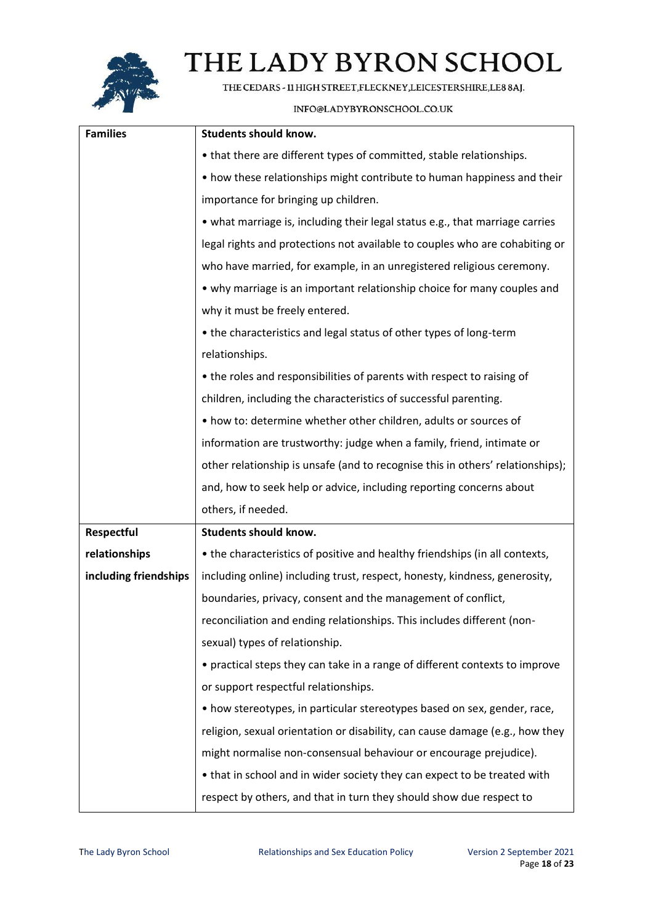

THE CEDARS - 11 HIGH STREET, FLECKNEY, LEICESTERSHIRE, LE8 8AJ.

| <b>Families</b>       | <b>Students should know.</b>                                                   |
|-----------------------|--------------------------------------------------------------------------------|
|                       | • that there are different types of committed, stable relationships.           |
|                       | • how these relationships might contribute to human happiness and their        |
|                       | importance for bringing up children.                                           |
|                       | • what marriage is, including their legal status e.g., that marriage carries   |
|                       | legal rights and protections not available to couples who are cohabiting or    |
|                       | who have married, for example, in an unregistered religious ceremony.          |
|                       | • why marriage is an important relationship choice for many couples and        |
|                       | why it must be freely entered.                                                 |
|                       | • the characteristics and legal status of other types of long-term             |
|                       | relationships.                                                                 |
|                       | • the roles and responsibilities of parents with respect to raising of         |
|                       | children, including the characteristics of successful parenting.               |
|                       | • how to: determine whether other children, adults or sources of               |
|                       | information are trustworthy: judge when a family, friend, intimate or          |
|                       | other relationship is unsafe (and to recognise this in others' relationships); |
|                       | and, how to seek help or advice, including reporting concerns about            |
|                       | others, if needed.                                                             |
| Respectful            | <b>Students should know.</b>                                                   |
| relationships         | • the characteristics of positive and healthy friendships (in all contexts,    |
| including friendships | including online) including trust, respect, honesty, kindness, generosity,     |
|                       | boundaries, privacy, consent and the management of conflict,                   |
|                       | reconciliation and ending relationships. This includes different (non-         |
|                       | sexual) types of relationship.                                                 |
|                       | • practical steps they can take in a range of different contexts to improve    |
|                       | or support respectful relationships.                                           |
|                       | • how stereotypes, in particular stereotypes based on sex, gender, race,       |
|                       | religion, sexual orientation or disability, can cause damage (e.g., how they   |
|                       | might normalise non-consensual behaviour or encourage prejudice).              |
|                       | • that in school and in wider society they can expect to be treated with       |
|                       | respect by others, and that in turn they should show due respect to            |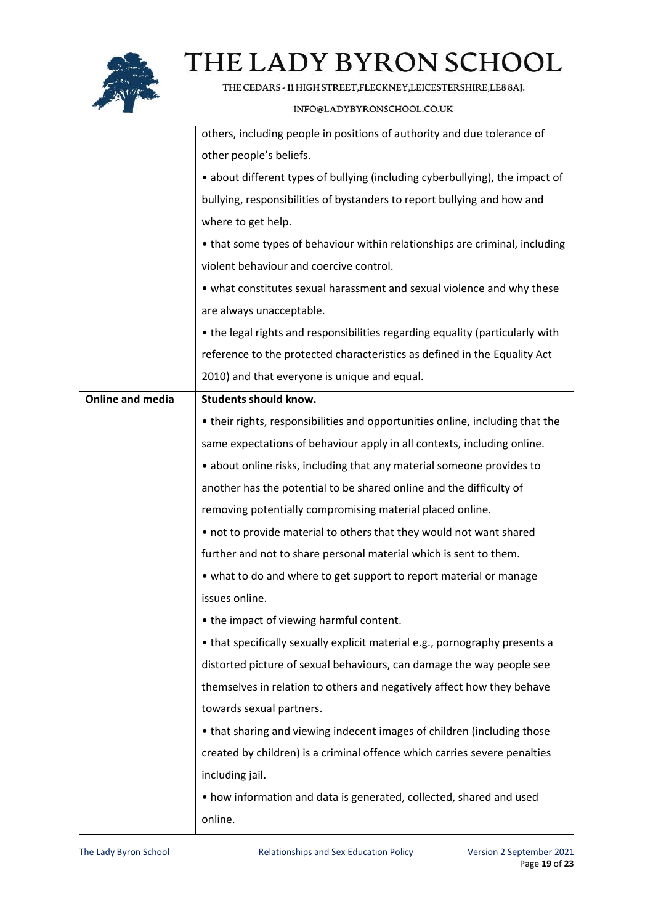

THE CEDARS - 11 HIGH STREET, FLECKNEY, LEICESTERSHIRE, LE8 8AJ.

|                         | others, including people in positions of authority and due tolerance of       |
|-------------------------|-------------------------------------------------------------------------------|
|                         | other people's beliefs.                                                       |
|                         | • about different types of bullying (including cyberbullying), the impact of  |
|                         | bullying, responsibilities of bystanders to report bullying and how and       |
|                         | where to get help.                                                            |
|                         | • that some types of behaviour within relationships are criminal, including   |
|                         | violent behaviour and coercive control.                                       |
|                         | • what constitutes sexual harassment and sexual violence and why these        |
|                         | are always unacceptable.                                                      |
|                         | • the legal rights and responsibilities regarding equality (particularly with |
|                         | reference to the protected characteristics as defined in the Equality Act     |
|                         | 2010) and that everyone is unique and equal.                                  |
| <b>Online and media</b> | <b>Students should know.</b>                                                  |
|                         | • their rights, responsibilities and opportunities online, including that the |
|                         | same expectations of behaviour apply in all contexts, including online.       |
|                         | • about online risks, including that any material someone provides to         |
|                         | another has the potential to be shared online and the difficulty of           |
|                         | removing potentially compromising material placed online.                     |
|                         | • not to provide material to others that they would not want shared           |
|                         | further and not to share personal material which is sent to them.             |
|                         | • what to do and where to get support to report material or manage            |
|                         | issues online.                                                                |
|                         | • the impact of viewing harmful content.                                      |
|                         | • that specifically sexually explicit material e.g., pornography presents a   |
|                         | distorted picture of sexual behaviours, can damage the way people see         |
|                         | themselves in relation to others and negatively affect how they behave        |
|                         | towards sexual partners.                                                      |
|                         | • that sharing and viewing indecent images of children (including those       |
|                         | created by children) is a criminal offence which carries severe penalties     |
|                         | including jail.                                                               |
|                         | • how information and data is generated, collected, shared and used           |
|                         | online.                                                                       |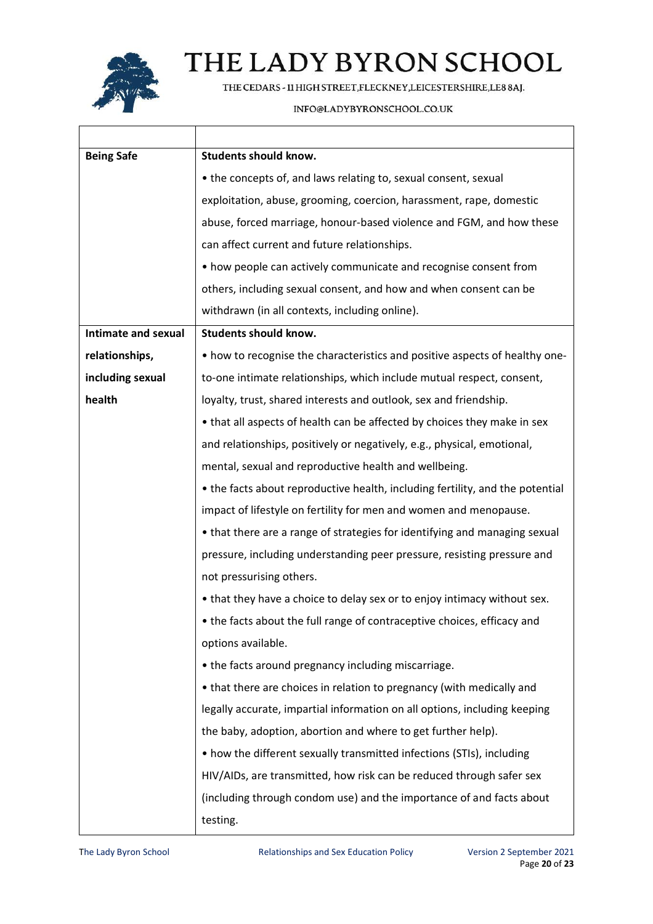

THE CEDARS - 11 HIGH STREET, FLECKNEY, LEICESTERSHIRE, LE8 8AJ.

| <b>Being Safe</b>   | <b>Students should know.</b>                                                  |  |  |  |
|---------------------|-------------------------------------------------------------------------------|--|--|--|
|                     | • the concepts of, and laws relating to, sexual consent, sexual               |  |  |  |
|                     | exploitation, abuse, grooming, coercion, harassment, rape, domestic           |  |  |  |
|                     | abuse, forced marriage, honour-based violence and FGM, and how these          |  |  |  |
|                     | can affect current and future relationships.                                  |  |  |  |
|                     | • how people can actively communicate and recognise consent from              |  |  |  |
|                     | others, including sexual consent, and how and when consent can be             |  |  |  |
|                     | withdrawn (in all contexts, including online).                                |  |  |  |
| Intimate and sexual | <b>Students should know.</b>                                                  |  |  |  |
| relationships,      | • how to recognise the characteristics and positive aspects of healthy one-   |  |  |  |
| including sexual    | to-one intimate relationships, which include mutual respect, consent,         |  |  |  |
| health              | loyalty, trust, shared interests and outlook, sex and friendship.             |  |  |  |
|                     | • that all aspects of health can be affected by choices they make in sex      |  |  |  |
|                     | and relationships, positively or negatively, e.g., physical, emotional,       |  |  |  |
|                     | mental, sexual and reproductive health and wellbeing.                         |  |  |  |
|                     | • the facts about reproductive health, including fertility, and the potential |  |  |  |
|                     | impact of lifestyle on fertility for men and women and menopause.             |  |  |  |
|                     | • that there are a range of strategies for identifying and managing sexual    |  |  |  |
|                     | pressure, including understanding peer pressure, resisting pressure and       |  |  |  |
|                     | not pressurising others.                                                      |  |  |  |
|                     | • that they have a choice to delay sex or to enjoy intimacy without sex.      |  |  |  |
|                     | • the facts about the full range of contraceptive choices, efficacy and       |  |  |  |
|                     | options available.                                                            |  |  |  |
|                     | • the facts around pregnancy including miscarriage.                           |  |  |  |
|                     | • that there are choices in relation to pregnancy (with medically and         |  |  |  |
|                     | legally accurate, impartial information on all options, including keeping     |  |  |  |
|                     | the baby, adoption, abortion and where to get further help).                  |  |  |  |
|                     | • how the different sexually transmitted infections (STIs), including         |  |  |  |
|                     | HIV/AIDs, are transmitted, how risk can be reduced through safer sex          |  |  |  |
|                     | (including through condom use) and the importance of and facts about          |  |  |  |
|                     | testing.                                                                      |  |  |  |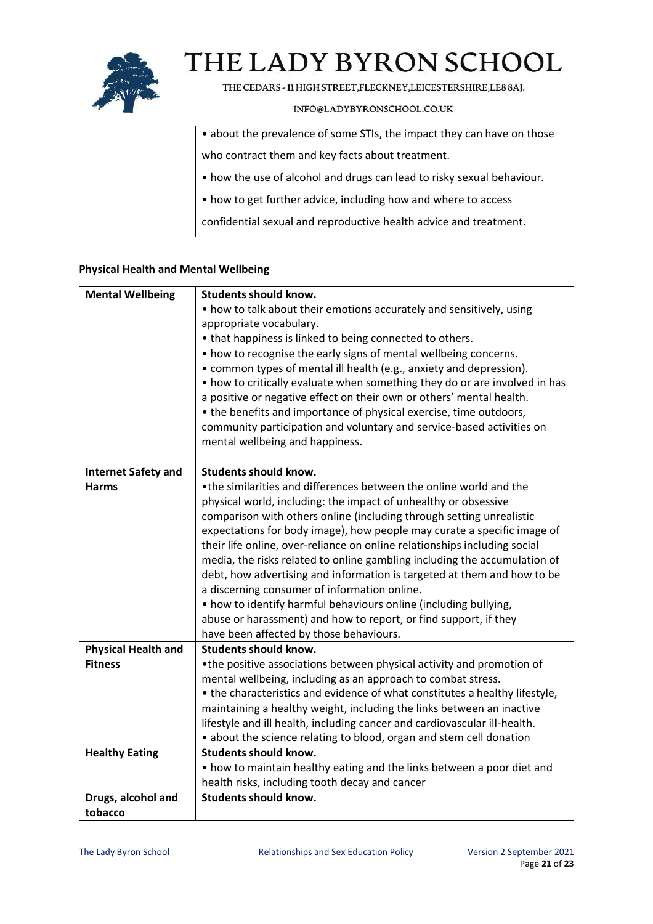

THE CEDARS - 11 HIGH STREET, FLECKNEY, LEICESTERSHIRE, LE8 8AJ.

### INFO@LADYBYRONSCHOOL.CO.UK

| • about the prevalence of some STIs, the impact they can have on those |
|------------------------------------------------------------------------|
| who contract them and key facts about treatment.                       |
| • how the use of alcohol and drugs can lead to risky sexual behaviour. |
| • how to get further advice, including how and where to access         |
| confidential sexual and reproductive health advice and treatment.      |

### **Physical Health and Mental Wellbeing**

| <b>Mental Wellbeing</b>    | <b>Students should know.</b>                                                |
|----------------------------|-----------------------------------------------------------------------------|
|                            | • how to talk about their emotions accurately and sensitively, using        |
|                            | appropriate vocabulary.                                                     |
|                            | • that happiness is linked to being connected to others.                    |
|                            | • how to recognise the early signs of mental wellbeing concerns.            |
|                            | • common types of mental ill health (e.g., anxiety and depression).         |
|                            | • how to critically evaluate when something they do or are involved in has  |
|                            | a positive or negative effect on their own or others' mental health.        |
|                            | • the benefits and importance of physical exercise, time outdoors,          |
|                            | community participation and voluntary and service-based activities on       |
|                            | mental wellbeing and happiness.                                             |
| <b>Internet Safety and</b> | <b>Students should know.</b>                                                |
| <b>Harms</b>               | •the similarities and differences between the online world and the          |
|                            | physical world, including: the impact of unhealthy or obsessive             |
|                            | comparison with others online (including through setting unrealistic        |
|                            | expectations for body image), how people may curate a specific image of     |
|                            | their life online, over-reliance on online relationships including social   |
|                            | media, the risks related to online gambling including the accumulation of   |
|                            | debt, how advertising and information is targeted at them and how to be     |
|                            | a discerning consumer of information online.                                |
|                            | • how to identify harmful behaviours online (including bullying,            |
|                            | abuse or harassment) and how to report, or find support, if they            |
|                            | have been affected by those behaviours.                                     |
| <b>Physical Health and</b> | <b>Students should know.</b>                                                |
| <b>Fitness</b>             | •the positive associations between physical activity and promotion of       |
|                            | mental wellbeing, including as an approach to combat stress.                |
|                            | • the characteristics and evidence of what constitutes a healthy lifestyle, |
|                            | maintaining a healthy weight, including the links between an inactive       |
|                            | lifestyle and ill health, including cancer and cardiovascular ill-health.   |
|                            | • about the science relating to blood, organ and stem cell donation         |
| <b>Healthy Eating</b>      | <b>Students should know.</b>                                                |
|                            | • how to maintain healthy eating and the links between a poor diet and      |
|                            | health risks, including tooth decay and cancer                              |
| Drugs, alcohol and         | <b>Students should know.</b>                                                |
| tobacco                    |                                                                             |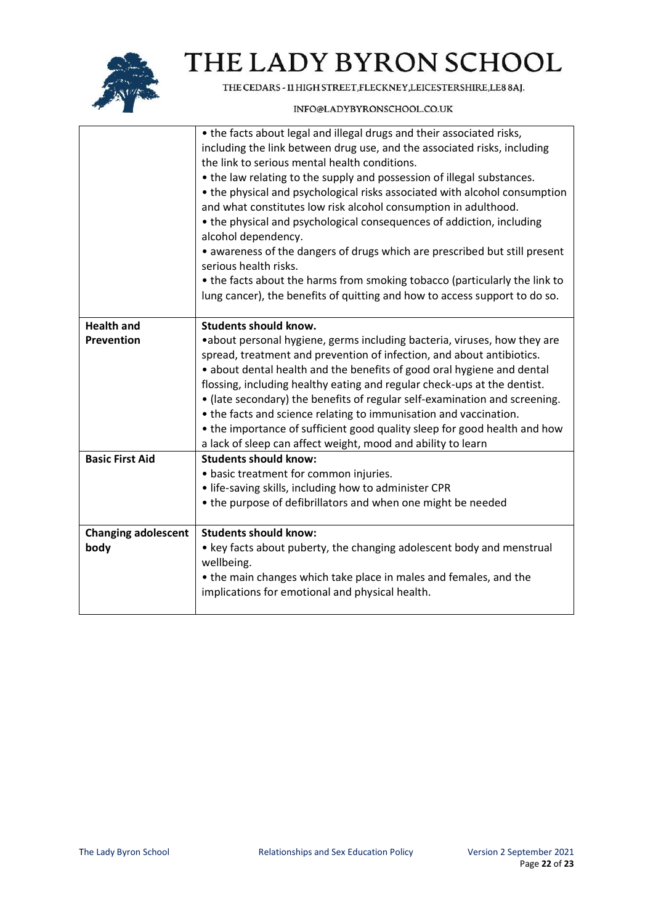

THE CEDARS - 11 HIGH STREET, FLECKNEY, LEICESTERSHIRE, LE8 8AJ.

|                            | • the facts about legal and illegal drugs and their associated risks,<br>including the link between drug use, and the associated risks, including<br>the link to serious mental health conditions.<br>• the law relating to the supply and possession of illegal substances.<br>• the physical and psychological risks associated with alcohol consumption                                                                                                                                                                                                                                               |
|----------------------------|----------------------------------------------------------------------------------------------------------------------------------------------------------------------------------------------------------------------------------------------------------------------------------------------------------------------------------------------------------------------------------------------------------------------------------------------------------------------------------------------------------------------------------------------------------------------------------------------------------|
|                            | and what constitutes low risk alcohol consumption in adulthood.<br>• the physical and psychological consequences of addiction, including                                                                                                                                                                                                                                                                                                                                                                                                                                                                 |
|                            | alcohol dependency.                                                                                                                                                                                                                                                                                                                                                                                                                                                                                                                                                                                      |
|                            | • awareness of the dangers of drugs which are prescribed but still present<br>serious health risks.                                                                                                                                                                                                                                                                                                                                                                                                                                                                                                      |
|                            | • the facts about the harms from smoking tobacco (particularly the link to                                                                                                                                                                                                                                                                                                                                                                                                                                                                                                                               |
|                            | lung cancer), the benefits of quitting and how to access support to do so.                                                                                                                                                                                                                                                                                                                                                                                                                                                                                                                               |
| <b>Health and</b>          | <b>Students should know.</b>                                                                                                                                                                                                                                                                                                                                                                                                                                                                                                                                                                             |
| <b>Prevention</b>          | • about personal hygiene, germs including bacteria, viruses, how they are<br>spread, treatment and prevention of infection, and about antibiotics.<br>• about dental health and the benefits of good oral hygiene and dental<br>flossing, including healthy eating and regular check-ups at the dentist.<br>• (late secondary) the benefits of regular self-examination and screening.<br>• the facts and science relating to immunisation and vaccination.<br>• the importance of sufficient good quality sleep for good health and how<br>a lack of sleep can affect weight, mood and ability to learn |
| <b>Basic First Aid</b>     | <b>Students should know:</b>                                                                                                                                                                                                                                                                                                                                                                                                                                                                                                                                                                             |
|                            | • basic treatment for common injuries.<br>• life-saving skills, including how to administer CPR                                                                                                                                                                                                                                                                                                                                                                                                                                                                                                          |
|                            | • the purpose of defibrillators and when one might be needed                                                                                                                                                                                                                                                                                                                                                                                                                                                                                                                                             |
| <b>Changing adolescent</b> | <b>Students should know:</b>                                                                                                                                                                                                                                                                                                                                                                                                                                                                                                                                                                             |
| body                       | • key facts about puberty, the changing adolescent body and menstrual<br>wellbeing.                                                                                                                                                                                                                                                                                                                                                                                                                                                                                                                      |
|                            | • the main changes which take place in males and females, and the<br>implications for emotional and physical health.                                                                                                                                                                                                                                                                                                                                                                                                                                                                                     |